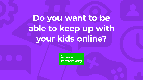# **Do you want to be able to keep up with your kids online?**

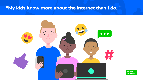## **"My kids know more about the internet than I do…"**



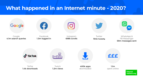## **What happened in an Internet minute - 2020?**

## Google

G

Google **4.1m search queries**

Facebook **1.3m logged in**





Instagram

**698k scrolls**

WhatsApp & FB Messenger **59m messages sent**



Twitter **194k tweet**s



TikTok **1.4k downloads**

Twitch **1.2m views**



**1.1m** spent online

> internet matters.org





**400k apps** downloaded

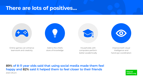## **There are lots of positives…**





Online games can enhance teamwork and creativity

Add to the child's store of knowledge

Households with computers perform better academically

Improve both visual intelligence and hand-eye coordination

internet matters.org



#### **89% of 8-11 year olds said that using social media made them feel happy and 82% said it helped them to feel closer to their friends** 2020 Ofcom



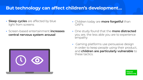## **But technology can affect children's development…**

- **• Sleep cycles** are affected by blue light from screens
- **•** Screen-based entertainment **increases central nervous system arousal**



- **•** Children today are **more forgetful** than OAP's
- **•** One study found that the **more distracted** you are, the less able you are to experience empathy
- **•** Gaming platforms use persuasive design in order to keep people using their product, and **children are particularly vulnerable** to these tactics.





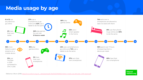## **Media usage by age**



Reference: Ofcom (2019) [https://www.ofcom.org.uk/\\_\\_data/assets/pdf\\_file/0023/190616/children-media-use-attitudes- 2019-report.pdf](https://www.ofcom.org.uk/__data/assets/pdf_file/0023/190616/children-media-use-attitudes- 2019-report.pdf)



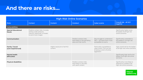## **And there are risks…**

| <b>High-Risk Online Scenarios</b>            |                                                                                                                       |                                       |                                                                                  |                                                                                                         |                                                                                          |  |
|----------------------------------------------|-----------------------------------------------------------------------------------------------------------------------|---------------------------------------|----------------------------------------------------------------------------------|---------------------------------------------------------------------------------------------------------|------------------------------------------------------------------------------------------|--|
| <b>Risks</b>                                 | <b>Contact</b>                                                                                                        | <b>Content</b>                        | <b>Conduct</b>                                                                   | <b>Cyber scams</b>                                                                                      | Overall risk - all 4Cs'<br>together                                                      |  |
| <b>Vulnerabilities</b>                       |                                                                                                                       |                                       |                                                                                  |                                                                                                         |                                                                                          |  |
| <b>Special Educational</b><br><b>Needs</b>   | Predicts contact risks. Includes<br>sexting under pressure,<br>coercion, blackmail, or threats<br>to send more images |                                       |                                                                                  |                                                                                                         | Significantly higher score<br>for basket of all high-risk<br>online scenarios            |  |
| <b>Communication</b>                         |                                                                                                                       |                                       | Predicts conduct risks.<br>More likely to visit gambling<br>sites and chat rooms | May struggle to understand<br>T&Cs - can leave them more<br>susceptible to scams                        | Significantly vulnerable to<br>the basket of all high-risk<br>online scenarios           |  |
| <b>Family / Social</b><br>(care-experienced) |                                                                                                                       | Higher exposure to harmful<br>content |                                                                                  | Particularly susceptible to<br>cyber scams. This can link<br>to being a victim of online<br>aggression. | High overall risk for the basket<br>of all high-risk online scenarios                    |  |
| <b>Mental health</b><br>difficulties         |                                                                                                                       |                                       |                                                                                  |                                                                                                         | Significantly high risk for the<br>basket of all high-risk online<br>scenarios           |  |
| <b>Physical disabilities</b>                 |                                                                                                                       |                                       | Predicts conduct risks.<br>More likely to visit sites<br>with adult content.     |                                                                                                         | Significantly more likely to<br>experience a basket of all<br>high-risk online scenarios |  |

**internet**<br>| matters.org







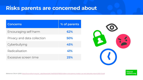## **Risks parents are concerned about**



internet matters.org



| Concerns                    | % of pare |
|-----------------------------|-----------|
| Encouraging self-harm       | 62%       |
| Privacy and data collection | 50%       |
| Cyberbullying               | 45%       |
| Radicalisation              | 41%       |
| Excessive screen time       | 25%       |

Reference: Ofcom (2021) https://www.ofcom.org.uk/\_data/assets/pdf\_file/0025/217825/children-and-parents-media-u se-and-attitudes-report-2020-21.pdf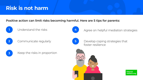## **Risk is not harm**



foster resilience



internet matters.org











Understand the risks **4** Agree on helpful mediation strategies



### **Positive action can limit risks becoming harmful. Here are 5 tips for parents:**

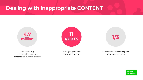## **Dealing with inappropriate CONTENT**

URL's showing pornographic content – **more than 12%** of the internet



Average age to **first view porn online**

of children have **seen explicit images** by age of 10

> internet matters.org





# **11 years 1/3**

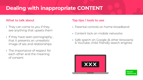## **Dealing with inappropriate CONTENT**

#### **What to talk about**

- **•** They can come to you if they see anything that upsets them
- **•** If they have seen pornography… that it presents an unrealistic image of sex and relationships
- **•** The importance of respect for each other and the meaning of consent

### **Top tips / tools to use**

- **•** Parental controls on home broadband
- **•** Content lock on mobile networks
- **•** Safe search on Google (& other browsers) & YouTube; child–friendly search engines



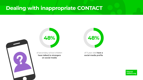## **Dealing with inappropriate CONTACT**



of secondary school children **have talked to strangers on social media**



of 11 year olds **have a social media profile**



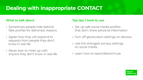## **Dealing with inappropriate CONTACT**

#### **What to talk about**

- **•** Sometimes people hide behind fake profiles for dishonest reasons
- **•** Agree how they will respond to requests from people they don't know in real life
- **•** Never ever to meet up with anyone they don't know in real life

#### **Top tips / tools to use**

- **•** Set up safe social media profiles that don't share personal information
- **•** Turn off geolocation settings on devices
- **•** Use the strongest privacy settings on social media
- **•** Learn how to report/block/mute

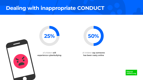## **Dealing with inappropriate CONDUCT**







of children **say someone has been nasty online**



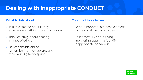## **Dealing with inappropriate CONDUCT**

#### **What to talk about**

- **•** Talk to a trusted adult if they experience anything upsetting online
- **•** Think carefully about sharing images of others
- **•** Be responsible online, remembering they are creating their own digital footprint

#### **Top tips / tools to use**

- **•** Report inappropriate posts/content to the social media providers
- **•** Think carefully about using monitoring apps that identify inappropriate behaviour

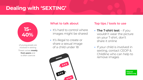## **What to talk about**

- It's hard to control where images might be shared
- **•** It's illegal to create or share a sexual image of a child under 18



## **Top tips / tools to use**

- **• The T-shirt test**  if you wouldn't wear the picture on your T-shirt, don't share it online
- **•** If your child is involved in sexting, contact CEOP & Childline who can help to remove images

internet matters.org



# **Dealing with 'SEXTING'**

of young people are involved in sexting Threat comes **mostly from peers** and is often coercive

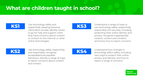## **What are children taught in school?**

Use technology safely and respectfully, keeping personal information private; identify where to go for help and support when they have concerns about content or contact on the internet or other online technologies



Use technology safely, respectfully and responsibly; recognise acceptable/unacceptable behaviour; identify a range of ways to report concerns about content and contact



Understand a range of ways to use technology safely, respectfully, responsibly and securely, including protecting their online identity and privacy; recognise inappropriate content, contact and conduct, and know how to report concerns



Understand how changes in technology affect safety, including new ways to protect their online privacy and identity, and how to report a range of concerns



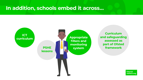## **In addition, schools embed it across…**

## **ICT curriculum**

#### **PSHE lessons**

**Appropriate filters and monitoring system**

**Curriculum and safeguarding assessed as part of Ofsted framework**

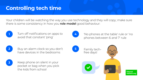## **Controlling tech time**

**1** Turn off notifications on apps to avoid that constant 'ping'



**4** 'No phones at the table' rule or 'no phones between 6 and 7' rule



**2** Buy an alarm clock so you don't have devices in the bedrooms



**5** Family techfree days!



internet matters.org



**3** Keep phone on silent in your pocket or bag when you pick the kids from school

## Your children will be watching the way you use technology and they will copy; make sure



there is some consistency in how you **role model** good behaviour:

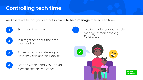## **Controlling tech time**



**5** Use technology/apps to help manage screen time e.g. Forest App



internet matters.org









Agree on appropriate length of time they can use their device

Get the whole family to unplug & create screen-free zones



#### And there are tactics you can put in place **to help manage** their screen time….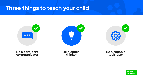## **Three things to teach your child**



#### **Be a confident communicator**

**Be a critical** 







**thinker Be a capable tools user**

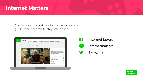## **Internet Matters**

#### Our vision is to motivate & educate parents to guide their children to stay safe online





- $\vert f \vert$  **InternetMatters**
	- **internetmatters**
	- **@im\_org**